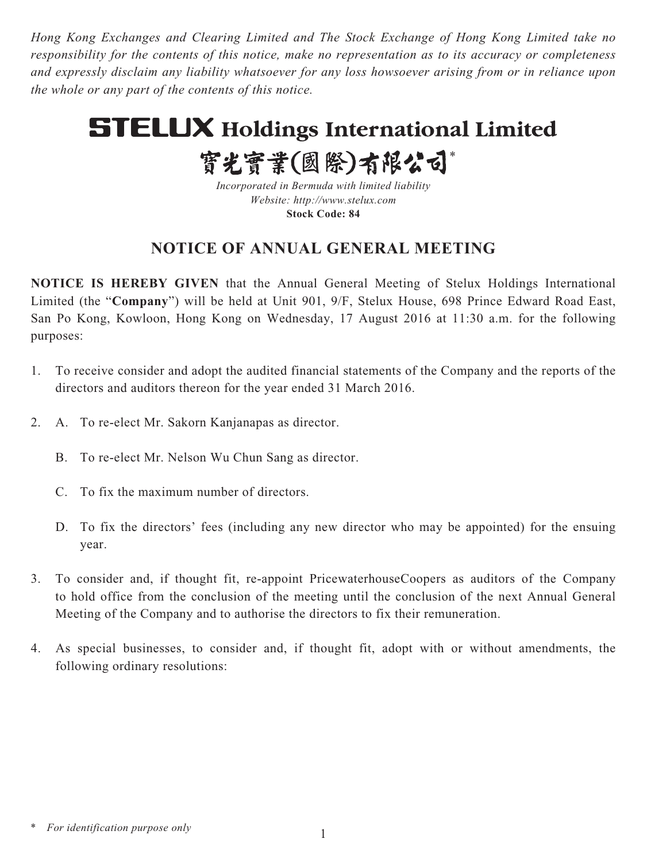*Hong Kong Exchanges and Clearing Limited and The Stock Exchange of Hong Kong Limited take no responsibility for the contents of this notice, make no representation as to its accuracy or completeness and expressly disclaim any liability whatsoever for any loss howsoever arising from or in reliance upon the whole or any part of the contents of this notice.*

# **STELUX Holdings International Limited**

寳光寳業(國際)有限公司\*

*Incorporated in Bermuda with limited liability Website: http://www.stelux.com* **Stock Code: 84**

# **NOTICE OF ANNUAL GENERAL MEETING**

**NOTICE IS HEREBY GIVEN** that the Annual General Meeting of Stelux Holdings International Limited (the "**Company**") will be held at Unit 901, 9/F, Stelux House, 698 Prince Edward Road East, San Po Kong, Kowloon, Hong Kong on Wednesday, 17 August 2016 at 11:30 a.m. for the following purposes:

- 1. To receive consider and adopt the audited financial statements of the Company and the reports of the directors and auditors thereon for the year ended 31 March 2016.
- 2. A. To re-elect Mr. Sakorn Kanjanapas as director.
	- B. To re-elect Mr. Nelson Wu Chun Sang as director.
	- C. To fix the maximum number of directors.
	- D. To fix the directors' fees (including any new director who may be appointed) for the ensuing year.
- 3. To consider and, if thought fit, re-appoint PricewaterhouseCoopers as auditors of the Company to hold office from the conclusion of the meeting until the conclusion of the next Annual General Meeting of the Company and to authorise the directors to fix their remuneration.
- 4. As special businesses, to consider and, if thought fit, adopt with or without amendments, the following ordinary resolutions:

*<sup>\*</sup> For identification purpose only*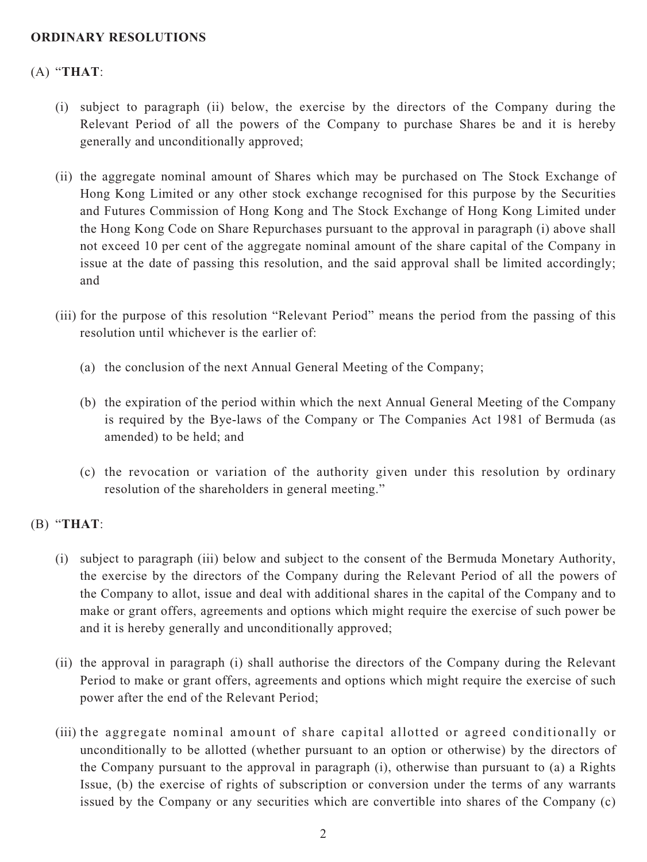# **ORDINARY RESOLUTIONS**

# (A) "**THAT**:

- (i) subject to paragraph (ii) below, the exercise by the directors of the Company during the Relevant Period of all the powers of the Company to purchase Shares be and it is hereby generally and unconditionally approved;
- (ii) the aggregate nominal amount of Shares which may be purchased on The Stock Exchange of Hong Kong Limited or any other stock exchange recognised for this purpose by the Securities and Futures Commission of Hong Kong and The Stock Exchange of Hong Kong Limited under the Hong Kong Code on Share Repurchases pursuant to the approval in paragraph (i) above shall not exceed 10 per cent of the aggregate nominal amount of the share capital of the Company in issue at the date of passing this resolution, and the said approval shall be limited accordingly; and
- (iii) for the purpose of this resolution "Relevant Period" means the period from the passing of this resolution until whichever is the earlier of:
	- (a) the conclusion of the next Annual General Meeting of the Company;
	- (b) the expiration of the period within which the next Annual General Meeting of the Company is required by the Bye-laws of the Company or The Companies Act 1981 of Bermuda (as amended) to be held; and
	- (c) the revocation or variation of the authority given under this resolution by ordinary resolution of the shareholders in general meeting."

#### (B) "**THAT**:

- (i) subject to paragraph (iii) below and subject to the consent of the Bermuda Monetary Authority, the exercise by the directors of the Company during the Relevant Period of all the powers of the Company to allot, issue and deal with additional shares in the capital of the Company and to make or grant offers, agreements and options which might require the exercise of such power be and it is hereby generally and unconditionally approved;
- (ii) the approval in paragraph (i) shall authorise the directors of the Company during the Relevant Period to make or grant offers, agreements and options which might require the exercise of such power after the end of the Relevant Period;
- (iii) the aggregate nominal amount of share capital allotted or agreed conditionally or unconditionally to be allotted (whether pursuant to an option or otherwise) by the directors of the Company pursuant to the approval in paragraph (i), otherwise than pursuant to (a) a Rights Issue, (b) the exercise of rights of subscription or conversion under the terms of any warrants issued by the Company or any securities which are convertible into shares of the Company (c)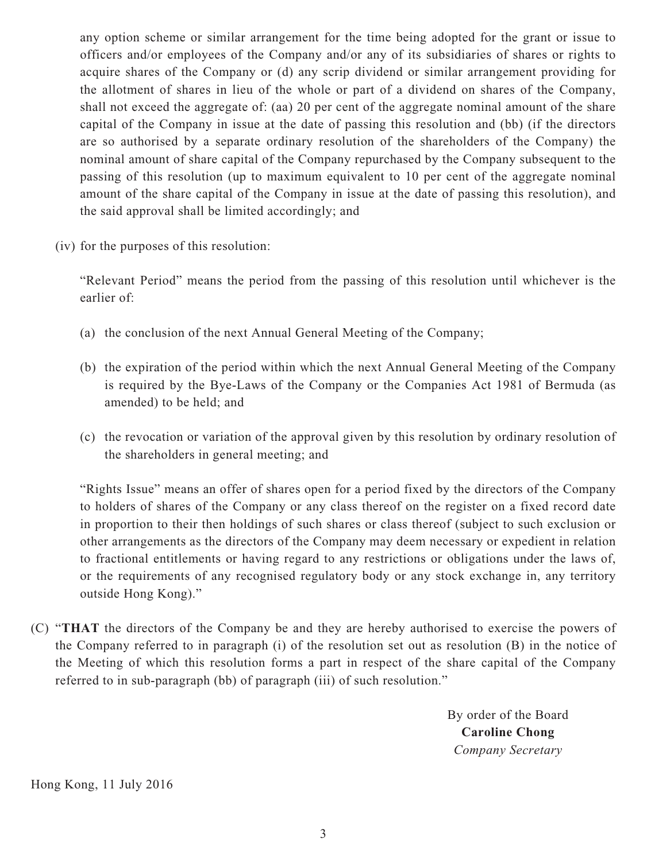any option scheme or similar arrangement for the time being adopted for the grant or issue to officers and/or employees of the Company and/or any of its subsidiaries of shares or rights to acquire shares of the Company or (d) any scrip dividend or similar arrangement providing for the allotment of shares in lieu of the whole or part of a dividend on shares of the Company, shall not exceed the aggregate of: (aa) 20 per cent of the aggregate nominal amount of the share capital of the Company in issue at the date of passing this resolution and (bb) (if the directors are so authorised by a separate ordinary resolution of the shareholders of the Company) the nominal amount of share capital of the Company repurchased by the Company subsequent to the passing of this resolution (up to maximum equivalent to 10 per cent of the aggregate nominal amount of the share capital of the Company in issue at the date of passing this resolution), and the said approval shall be limited accordingly; and

(iv) for the purposes of this resolution:

 "Relevant Period" means the period from the passing of this resolution until whichever is the earlier of:

- (a) the conclusion of the next Annual General Meeting of the Company;
- (b) the expiration of the period within which the next Annual General Meeting of the Company is required by the Bye-Laws of the Company or the Companies Act 1981 of Bermuda (as amended) to be held; and
- (c) the revocation or variation of the approval given by this resolution by ordinary resolution of the shareholders in general meeting; and

 "Rights Issue" means an offer of shares open for a period fixed by the directors of the Company to holders of shares of the Company or any class thereof on the register on a fixed record date in proportion to their then holdings of such shares or class thereof (subject to such exclusion or other arrangements as the directors of the Company may deem necessary or expedient in relation to fractional entitlements or having regard to any restrictions or obligations under the laws of, or the requirements of any recognised regulatory body or any stock exchange in, any territory outside Hong Kong)."

(C) "**THAT** the directors of the Company be and they are hereby authorised to exercise the powers of the Company referred to in paragraph (i) of the resolution set out as resolution (B) in the notice of the Meeting of which this resolution forms a part in respect of the share capital of the Company referred to in sub-paragraph (bb) of paragraph (iii) of such resolution."

> By order of the Board **Caroline Chong** *Company Secretary*

Hong Kong, 11 July 2016